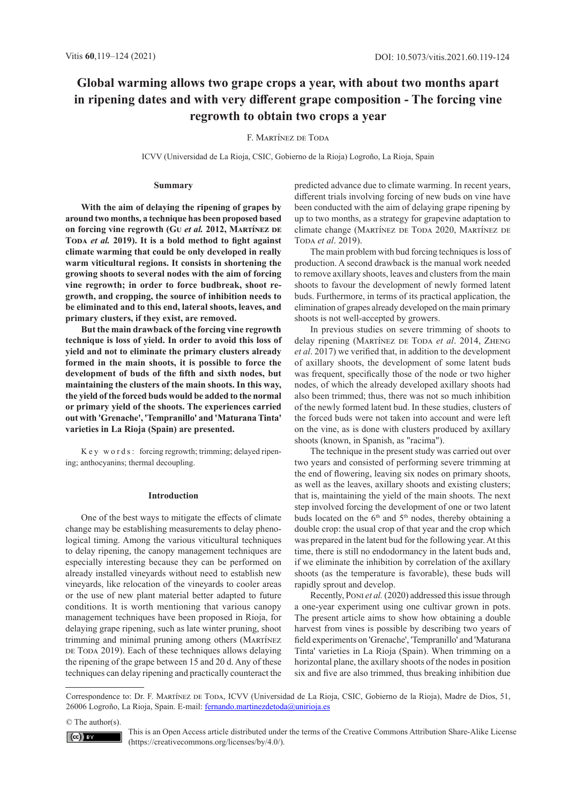# **Global warming allows two grape crops a year, with about two months apart in ripening dates and with very different grape composition - The forcing vine regrowth to obtain two crops a year**

## F. Martínez de Toda

ICVV (Universidad de La Rioja, CSIC, Gobierno de la Rioja) Logroño, La Rioja, Spain

#### **Summary**

**With the aim of delaying the ripening of grapes by around two months, a technique has been proposed based on forcing vine regrowth (Gu** *et al.* **2012, Martínez de**  Topa *et al.* 2019). It is a bold method to fight against **climate warming that could be only developed in really warm viticultural regions. It consists in shortening the growing shoots to several nodes with the aim of forcing vine regrowth; in order to force budbreak, shoot regrowth, and cropping, the source of inhibition needs to be eliminated and to this end, lateral shoots, leaves, and primary clusters, if they exist, are removed.** 

**But the main drawback of the forcing vine regrowth technique is loss of yield. In order to avoid this loss of yield and not to eliminate the primary clusters already formed in the main shoots, it is possible to force the development of buds of the fifth and sixth nodes, but maintaining the clusters of the main shoots. In this way, the yield of the forced buds would be added to the normal or primary yield of the shoots. The experiences carried out with 'Grenache', 'Tempranillo' and 'Maturana Tinta' varieties in La Rioja (Spain) are presented.**

K e y w o r d s : forcing regrowth; trimming; delayed ripening; anthocyanins; thermal decoupling.

#### **Introduction**

One of the best ways to mitigate the effects of climate change may be establishing measurements to delay phenological timing. Among the various viticultural techniques to delay ripening, the canopy management techniques are especially interesting because they can be performed on already installed vineyards without need to establish new vineyards, like relocation of the vineyards to cooler areas or the use of new plant material better adapted to future conditions. It is worth mentioning that various canopy management techniques have been proposed in Rioja, for delaying grape ripening, such as late winter pruning, shoot trimming and minimal pruning among others (Martínez DE TODA 2019). Each of these techniques allows delaying the ripening of the grape between 15 and 20 d. Any of these techniques can delay ripening and practically counteract the predicted advance due to climate warming. In recent years, different trials involving forcing of new buds on vine have been conducted with the aim of delaying grape ripening by up to two months, as a strategy for grapevine adaptation to climate change (MARTÍNEZ DE TODA 2020, MARTÍNEZ DE Toda et al. 2019).

The main problem with bud forcing techniques is loss of production. A second drawback is the manual work needed to remove axillary shoots, leaves and clusters from the main shoots to favour the development of newly formed latent buds. Furthermore, in terms of its practical application, the elimination of grapes already developed on the main primary shoots is not well-accepted by growers.

In previous studies on severe trimming of shoots to delay ripening (MARTÍNEZ DE TODA et al. 2014, ZHENG *et al*. 2017) we verified that, in addition to the development of axillary shoots, the development of some latent buds was frequent, specifically those of the node or two higher nodes, of which the already developed axillary shoots had also been trimmed; thus, there was not so much inhibition of the newly formed latent bud. In these studies, clusters of the forced buds were not taken into account and were left on the vine, as is done with clusters produced by axillary shoots (known, in Spanish, as "racima").

The technique in the present study was carried out over two years and consisted of performing severe trimming at the end of flowering, leaving six nodes on primary shoots, as well as the leaves, axillary shoots and existing clusters; that is, maintaining the yield of the main shoots. The next step involved forcing the development of one or two latent buds located on the  $6<sup>th</sup>$  and  $5<sup>th</sup>$  nodes, thereby obtaining a double crop: the usual crop of that year and the crop which was prepared in the latent bud for the following year. At this time, there is still no endodormancy in the latent buds and, if we eliminate the inhibition by correlation of the axillary shoots (as the temperature is favorable), these buds will rapidly sprout and develop.

Recently, Poni *et al.* (2020) addressed this issue through a one-year experiment using one cultivar grown in pots. The present article aims to show how obtaining a double harvest from vines is possible by describing two years of field experiments on 'Grenache', 'Tempranillo' and 'Maturana Tinta' varieties in La Rioja (Spain). When trimming on a horizontal plane, the axillary shoots of the nodes in position six and five are also trimmed, thus breaking inhibition due

Correspondence to: Dr. F. MARTÍNEZ DE TODA, ICVV (Universidad de La Rioja, CSIC, Gobierno de la Rioja), Madre de Dios, 51, 26006 Logroño, La Rioja, Spain. E-mail: [fernando.martinezdetoda@unirioja.es](mailto:fernando.martinezdetoda%40unirioja.es?subject=)

© The author(s).

This is an Open Access article distributed under the terms of the Creative Commons Attribution Share-Alike License (https://creativecommons.org/licenses/by/4.0/).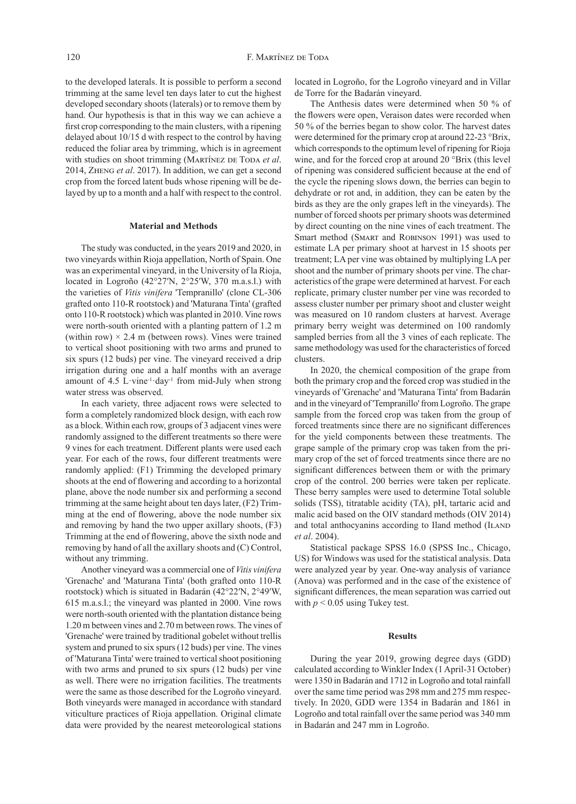to the developed laterals. It is possible to perform a second trimming at the same level ten days later to cut the highest developed secondary shoots (laterals) or to remove them by hand. Our hypothesis is that in this way we can achieve a first crop corresponding to the main clusters, with a ripening delayed about 10/15 d with respect to the control by having reduced the foliar area by trimming, which is in agreement with studies on shoot trimming (MARTÍNEZ DE TODA et al. 2014, Zheng *et al*. 2017). In addition, we can get a second crop from the forced latent buds whose ripening will be delayed by up to a month and a half with respect to the control.

#### **Material and Methods**

The study was conducted, in the years 2019 and 2020, in two vineyards within Rioja appellation, North of Spain. One was an experimental vineyard, in the University of la Rioja, located in Logroño (42°27′N, 2°25′W, 370 m.a.s.l.) with the varieties of *Vitis vinifera* 'Tempranillo' (clone CL-306 grafted onto 110-R rootstock) and 'Maturana Tinta' (grafted onto 110-R rootstock) which was planted in 2010. Vine rows were north-south oriented with a planting pattern of 1.2 m (within row)  $\times$  2.4 m (between rows). Vines were trained to vertical shoot positioning with two arms and pruned to six spurs (12 buds) per vine. The vineyard received a drip irrigation during one and a half months with an average amount of 4.5 L $\cdot$ vine<sup>-1</sup>·day<sup>-1</sup> from mid-July when strong water stress was observed.

In each variety, three adjacent rows were selected to form a completely randomized block design, with each row as a block. Within each row, groups of 3 adjacent vines were randomly assigned to the different treatments so there were 9 vines for each treatment. Different plants were used each year. For each of the rows, four different treatments were randomly applied: (F1) Trimming the developed primary shoots at the end of flowering and according to a horizontal plane, above the node number six and performing a second trimming at the same height about ten days later, (F2) Trimming at the end of flowering, above the node number six and removing by hand the two upper axillary shoots, (F3) Trimming at the end of flowering, above the sixth node and removing by hand of all the axillary shoots and (C) Control, without any trimming.

Another vineyard was a commercial one of *Vitis vinifera* 'Grenache' and 'Maturana Tinta' (both grafted onto 110-R rootstock) which is situated in Badarán (42°22′N, 2°49′W, 615 m.a.s.l.; the vineyard was planted in 2000. Vine rows were north-south oriented with the plantation distance being 1.20 m between vines and 2.70 m between rows. The vines of 'Grenache' were trained by traditional gobelet without trellis system and pruned to six spurs (12 buds) per vine. The vines of 'Maturana Tinta' were trained to vertical shoot positioning with two arms and pruned to six spurs (12 buds) per vine as well. There were no irrigation facilities. The treatments were the same as those described for the Logroño vineyard. Both vineyards were managed in accordance with standard viticulture practices of Rioja appellation. Original climate data were provided by the nearest meteorological stations

located in Logroño, for the Logroño vineyard and in Villar de Torre for the Badarán vineyard.

The Anthesis dates were determined when 50 % of the flowers were open, Veraison dates were recorded when 50 % of the berries began to show color. The harvest dates were determined for the primary crop at around 22-23 °Brix, which corresponds to the optimum level of ripening for Rioja wine, and for the forced crop at around 20 °Brix (this level of ripening was considered sufficient because at the end of the cycle the ripening slows down, the berries can begin to dehydrate or rot and, in addition, they can be eaten by the birds as they are the only grapes left in the vineyards). The number of forced shoots per primary shoots was determined by direct counting on the nine vines of each treatment. The Smart method (Smart and Robinson 1991) was used to estimate LA per primary shoot at harvest in 15 shoots per treatment; LA per vine was obtained by multiplying LA per shoot and the number of primary shoots per vine. The characteristics of the grape were determined at harvest. For each replicate, primary cluster number per vine was recorded to assess cluster number per primary shoot and cluster weight was measured on 10 random clusters at harvest. Average primary berry weight was determined on 100 randomly sampled berries from all the 3 vines of each replicate. The same methodology was used for the characteristics of forced clusters.

In 2020, the chemical composition of the grape from both the primary crop and the forced crop was studied in the vineyards of 'Grenache' and 'Maturana Tinta' from Badarán and in the vineyard of 'Tempranillo' from Logroño. The grape sample from the forced crop was taken from the group of forced treatments since there are no significant differences for the yield components between these treatments. The grape sample of the primary crop was taken from the primary crop of the set of forced treatments since there are no significant differences between them or with the primary crop of the control. 200 berries were taken per replicate. These berry samples were used to determine Total soluble solids (TSS), titratable acidity (TA), pH, tartaric acid and malic acid based on the OIV standard methods (OIV 2014) and total anthocyanins according to Iland method (ILAND *et al*. 2004).

Statistical package SPSS 16.0 (SPSS Inc., Chicago, US) for Windows was used for the statistical analysis. Data were analyzed year by year. One-way analysis of variance (Anova) was performed and in the case of the existence of significant differences, the mean separation was carried out with  $p < 0.05$  using Tukey test.

### **Results**

During the year 2019, growing degree days (GDD) calculated according to Winkler Index (1 April‐31 October) were 1350 in Badarán and 1712 in Logroño and total rainfall over the same time period was 298 mm and 275 mm respectively. In 2020, GDD were 1354 in Badarán and 1861 in Logroño and total rainfall over the same period was 340 mm in Badarán and 247 mm in Logroño.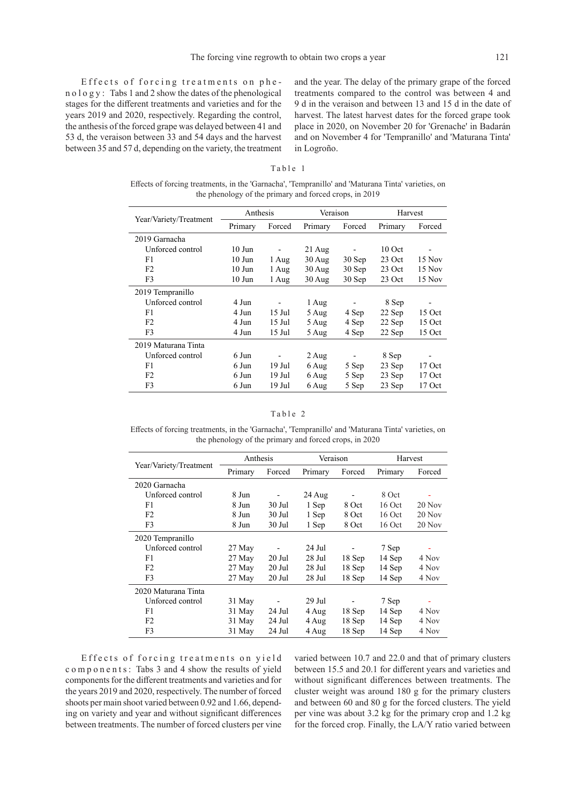Effects of forcing treatments on phe n o l o g y : Tabs 1 and 2 show the dates of the phenological stages for the different treatments and varieties and for the years 2019 and 2020, respectively. Regarding the control, the anthesis of the forced grape was delayed between 41 and 53 d, the veraison between 33 and 54 days and the harvest between 35 and 57 d, depending on the variety, the treatment and the year. The delay of the primary grape of the forced treatments compared to the control was between 4 and 9 d in the veraison and between 13 and 15 d in the date of harvest. The latest harvest dates for the forced grape took place in 2020, on November 20 for 'Grenache' in Badarán and on November 4 for 'Tempranillo' and 'Maturana Tinta' in Logroño.

## Table 1

Effects of forcing treatments, in the 'Garnacha', 'Tempranillo' and 'Maturana Tinta' varieties, on the phenology of the primary and forced crops, in 2019

|                        | Anthesis          |                          | Veraison           |                          | Harvest  |                              |  |
|------------------------|-------------------|--------------------------|--------------------|--------------------------|----------|------------------------------|--|
| Year/Variety/Treatment | Primary           | Forced                   | Primary            | Forced                   | Primary  | Forced                       |  |
| 2019 Garnacha          |                   |                          |                    |                          |          |                              |  |
| Unforced control       | $10$ Jun          | $\overline{\phantom{a}}$ | $21$ Aug           | $\overline{\phantom{a}}$ | $10$ Oct | $\qquad \qquad \blacksquare$ |  |
| F1                     | $10$ Jun          | 1 Aug                    | $30$ Aug           | 30 Sep                   | 23 Oct   | 15 Nov                       |  |
| F <sub>2</sub>         | $10$ Jun          | 1 Aug                    | $30$ Aug           | 30 Sep                   | 23 Oct   | 15 Nov                       |  |
| F3                     | $10$ Jun<br>1 Aug |                          | $30$ Aug<br>30 Sep |                          | 23 Oct   | 15 Nov                       |  |
| 2019 Tempranillo       |                   |                          |                    |                          |          |                              |  |
| Unforced control       | 4 Jun             |                          | 1 Aug              |                          | 8 Sep    |                              |  |
| F1                     | 4 Jun             | $15$ Jul                 | 5 Aug              | 4 Sep                    | 22 Sep   | 15 Oct                       |  |
| F <sub>2</sub>         | 4 Jun             | 15 Jul                   | 5 Aug              | 4 Sep                    | 22 Sep   | 15 Oct                       |  |
| F3                     | 4 Jun             | 15 Jul                   | 5 Aug              | 4 Sep                    | 22 Sep   | 15 Oct                       |  |
| 2019 Maturana Tinta    |                   |                          |                    |                          |          |                              |  |
| Unforced control       | 6 Jun             |                          | 2 Aug              |                          | 8 Sep    |                              |  |
| F1                     | 6 Jun             | $19$ Jul                 | 6 Aug              | 5 Sep                    | 23 Sep   | $17$ Oct                     |  |
| F <sub>2</sub>         | 6 Jun             | 19 Jul                   | 6 Aug              | 5 Sep                    | 23 Sep   | $17$ Oct                     |  |
| F3                     | 6 Jun             | 19 Jul                   | 6 Aug              | 5 Sep                    | 23 Sep   | 17 Oct                       |  |

## Table 2

Effects of forcing treatments, in the 'Garnacha', 'Tempranillo' and 'Maturana Tinta' varieties, on the phenology of the primary and forced crops, in 2020

|                        | Anthesis |                          | Veraison |          | Harvest  |          |  |
|------------------------|----------|--------------------------|----------|----------|----------|----------|--|
| Year/Variety/Treatment | Primary  | Forced                   | Primary  | Forced   | Primary  | Forced   |  |
| 2020 Garnacha          |          |                          |          |          |          |          |  |
| Unforced control       | 8 Jun    |                          | 24 Aug   |          | 8 Oct    |          |  |
| F1                     | 8 Jun    | 30 Jul                   | 1 Sep    | 8 Oct    | 16 Oct   | $20$ Nov |  |
| F <sub>2</sub>         | 8 Jun    | $30$ Jul                 | 1 Sep    | 8 Oct    | $16$ Oct | $20$ Nov |  |
| F <sub>3</sub>         | 8 Jun    | $30$ Jul                 | 1 Sep    | 8 Oct    | $16$ Oct | $20$ Nov |  |
| 2020 Tempranillo       |          |                          |          |          |          |          |  |
| Unforced control       | 27 May   |                          | 24 Jul   |          | 7 Sep    | Ξ        |  |
| F1                     | 27 May   | 20 Jul                   | 28 Jul   | 18 Sep   | 14 Sep   | 4 Nov    |  |
| F <sub>2</sub>         | 27 May   | 20 Jul                   | 28 Jul   | 18 Sep   | 14 Sep   | 4 Nov    |  |
| F3                     | 27 May   | 20 Jul                   | 28 Jul   | 18 Sep   | 14 Sep   | 4 Nov    |  |
| 2020 Maturana Tinta    |          |                          |          |          |          |          |  |
| Unforced control       | 31 May   | $\overline{\phantom{a}}$ | 29 Jul   |          | 7 Sep    | Ξ        |  |
| F1                     | 31 May   | 24 Jul                   | 4 Aug    | 18 Sep   | 14 Sep   | 4 Nov    |  |
| F <sub>2</sub>         | 31 May   | 24 Jul                   | 4 Aug    | $18$ Sep | 14 Sep   | 4 Nov    |  |
| F3                     | 31 May   | 24 Jul                   | 4 Aug    | 18 Sep   | 14 Sep   | 4 Nov    |  |

Effects of forcing treatments on yield components: Tabs 3 and 4 show the results of yield components for the different treatments and varieties and for the years 2019 and 2020, respectively. The number of forced shoots per main shoot varied between 0.92 and 1.66, depending on variety and year and without significant differences between treatments. The number of forced clusters per vine

varied between 10.7 and 22.0 and that of primary clusters between 15.5 and 20.1 for different years and varieties and without significant differences between treatments. The cluster weight was around 180 g for the primary clusters and between 60 and 80 g for the forced clusters. The yield per vine was about 3.2 kg for the primary crop and 1.2 kg for the forced crop. Finally, the LA/Y ratio varied between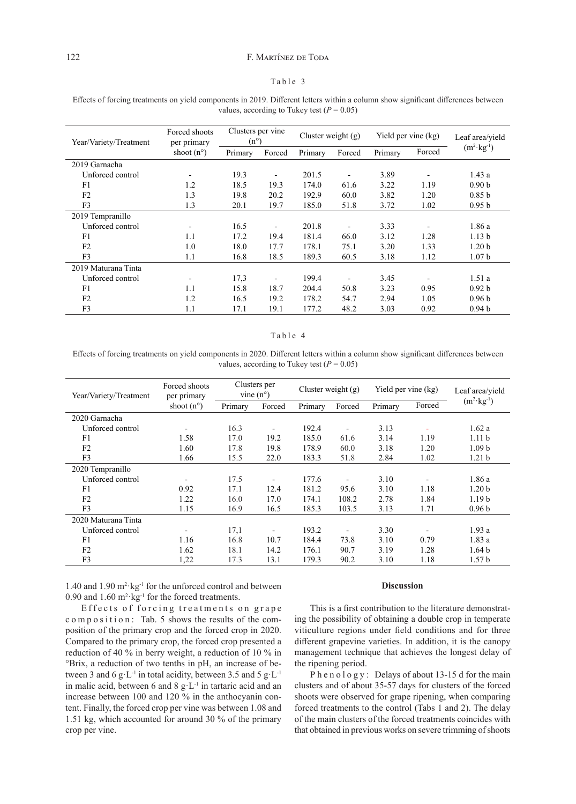## Table 3

| Effects of forcing treatments on yield components in 2019. Different letters within a column show significant differences between |
|-----------------------------------------------------------------------------------------------------------------------------------|
| values, according to Tukey test ( $P = 0.05$ )                                                                                    |

| Year/Variety/Treatment | Forced shoots<br>per primary | Clusters per vine<br>$(n^{\circ})$ |                              | Cluster weight $(g)$ |        | Yield per vine (kg) |        | Leaf area/yield       |
|------------------------|------------------------------|------------------------------------|------------------------------|----------------------|--------|---------------------|--------|-----------------------|
|                        | shoot $(n^{\circ})$          | Primary                            | Forced                       | Primary              | Forced | Primary             | Forced | $(m^2 \cdot kg^{-1})$ |
| 2019 Garnacha          |                              |                                    |                              |                      |        |                     |        |                       |
| Unforced control       |                              | 19.3                               | $\overline{\phantom{0}}$     | 201.5                |        | 3.89                |        | 1.43a                 |
| F1                     | 1.2                          | 18.5                               | 19.3                         | 174.0                | 61.6   | 3.22                | 1.19   | 0.90 <sub>b</sub>     |
| F <sub>2</sub>         | 1.3                          | 19.8                               | 20.2                         | 192.9                | 60.0   | 3.82                | 1.20   | 0.85 <sub>b</sub>     |
| F3                     | 1.3                          | 20.1                               | 19.7                         | 185.0                | 51.8   | 3.72                | 1.02   | 0.95 <sub>b</sub>     |
| 2019 Tempranillo       |                              |                                    |                              |                      |        |                     |        |                       |
| Unforced control       |                              | 16.5                               | $\overline{\phantom{0}}$     | 201.8                |        | 3.33                |        | 1.86a                 |
| F1                     | 1.1                          | 17.2                               | 19.4                         | 181.4                | 66.0   | 3.12                | 1.28   | 1.13 <sub>b</sub>     |
| F <sub>2</sub>         | 1.0                          | 18.0                               | 17.7                         | 178.1                | 75.1   | 3.20                | 1.33   | 1.20 <sub>b</sub>     |
| F3                     | 1.1                          | 16.8                               | 18.5                         | 189.3                | 60.5   | 3.18                | 1.12   | 1.07 <sub>b</sub>     |
| 2019 Maturana Tinta    |                              |                                    |                              |                      |        |                     |        |                       |
| Unforced control       | $\qquad \qquad \blacksquare$ | 17,3                               | $\qquad \qquad \blacksquare$ | 199.4                |        | 3.45                |        | 1.51a                 |
| F1                     | 1.1                          | 15.8                               | 18.7                         | 204.4                | 50.8   | 3.23                | 0.95   | 0.92 <sub>b</sub>     |
| F <sub>2</sub>         | 1.2                          | 16.5                               | 19.2                         | 178.2                | 54.7   | 2.94                | 1.05   | 0.96 <sub>b</sub>     |
| F3                     | 1.1                          | 17.1                               | 19.1                         | 177.2                | 48.2   | 3.03                | 0.92   | 0.94 <sub>b</sub>     |

## Table 4

Effects of forcing treatments on yield components in 2020. Different letters within a column show significant differences between values, according to Tukey test  $(P = 0.05)$ 

| Year/Variety/Treatment | Forced shoots<br>per primary | Clusters per<br>vine $(n^{\circ})$ |        | Cluster weight $(g)$ |                          | Yield per vine (kg) |        | Leaf area/yield       |
|------------------------|------------------------------|------------------------------------|--------|----------------------|--------------------------|---------------------|--------|-----------------------|
|                        | shoot $(n^{\circ})$          | Primary                            | Forced | Primary              | Forced                   | Primary             | Forced | $(m^2 \cdot kg^{-1})$ |
| 2020 Garnacha          |                              |                                    |        |                      |                          |                     |        |                       |
| Unforced control       |                              | 16.3                               |        | 192.4                | $\overline{\phantom{a}}$ | 3.13                |        | 1.62a                 |
| F1                     | 1.58                         | 17.0                               | 19.2   | 185.0                | 61.6                     | 3.14                | 1.19   | 1.11 <sub>b</sub>     |
| F <sub>2</sub>         | 1.60                         | 17.8                               | 19.8   | 178.9                | 60.0                     | 3.18                | 1.20   | 1.09 <sub>b</sub>     |
| F3                     | 1.66                         | 15.5                               | 22.0   | 183.3                | 51.8                     | 2.84                | 1.02   | 1.21 <sub>b</sub>     |
| 2020 Tempranillo       |                              |                                    |        |                      |                          |                     |        |                       |
| Unforced control       |                              | 17.5                               |        | 177.6                |                          | 3.10                |        | 1.86a                 |
| F <sub>1</sub>         | 0.92                         | 17.1                               | 12.4   | 181.2                | 95.6                     | 3.10                | 1.18   | 1.20 <sub>b</sub>     |
| F <sub>2</sub>         | 1.22                         | 16.0                               | 17.0   | 174.1                | 108.2                    | 2.78                | 1.84   | 1.19 <sub>b</sub>     |
| F <sub>3</sub>         | 1.15                         | 16.9                               | 16.5   | 185.3                | 103.5                    | 3.13                | 1.71   | 0.96 <sub>b</sub>     |
| 2020 Maturana Tinta    |                              |                                    |        |                      |                          |                     |        |                       |
| Unforced control       | $\overline{\phantom{a}}$     | 17,1                               |        | 193.2                | $\overline{\phantom{0}}$ | 3.30                |        | 1.93a                 |
| F1                     | 1.16                         | 16.8                               | 10.7   | 184.4                | 73.8                     | 3.10                | 0.79   | 1.83a                 |
| F <sub>2</sub>         | 1.62                         | 18.1                               | 14.2   | 176.1                | 90.7                     | 3.19                | 1.28   | 1.64 <sub>b</sub>     |
| F <sub>3</sub>         | 1,22                         | 17.3                               | 13.1   | 179.3                | 90.2                     | 3.10                | 1.18   | 1.57 <sub>b</sub>     |

1.40 and  $1.90 \text{ m}^2 \text{·kg}^{-1}$  for the unforced control and between 0.90 and  $1.60 \text{ m}^2 \text{·kg}^{-1}$  for the forced treatments.

Effects of forcing treatments on grape c o m p o sition: Tab. 5 shows the results of the composition of the primary crop and the forced crop in 2020. Compared to the primary crop, the forced crop presented a reduction of 40 % in berry weight, a reduction of 10 % in °Brix, a reduction of two tenths in pH, an increase of between 3 and 6  $g \cdot L^{-1}$  in total acidity, between 3.5 and 5  $g \cdot L^{-1}$ in malic acid, between 6 and 8 g·L-1 in tartaric acid and an increase between 100 and 120 % in the anthocyanin content. Finally, the forced crop per vine was between 1.08 and 1.51 kg, which accounted for around 30 % of the primary crop per vine.

## **Discussion**

This is a first contribution to the literature demonstrating the possibility of obtaining a double crop in temperate viticulture regions under field conditions and for three different grapevine varieties. In addition, it is the canopy management technique that achieves the longest delay of the ripening period.

Ph e n o l o g y : Delays of about 13-15 d for the main clusters and of about 35-57 days for clusters of the forced shoots were observed for grape ripening, when comparing forced treatments to the control (Tabs 1 and 2). The delay of the main clusters of the forced treatments coincides with that obtained in previous works on severe trimming of shoots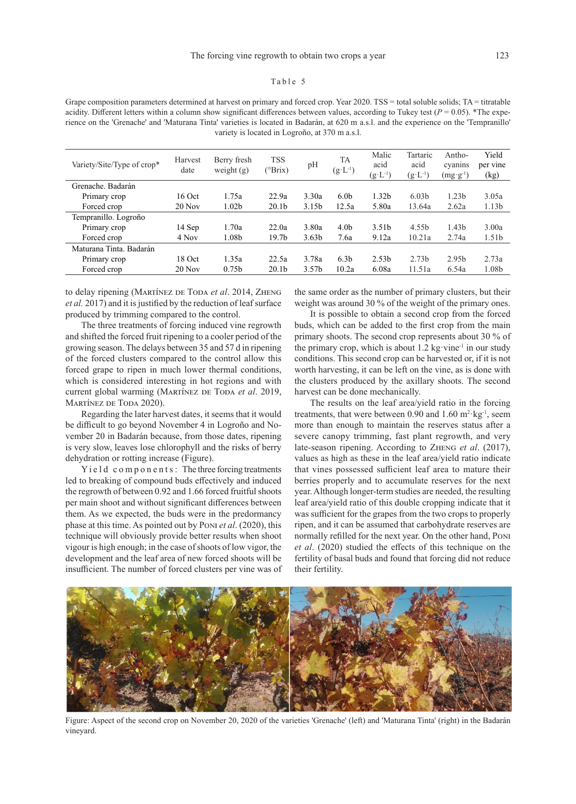## Table 5

Grape composition parameters determined at harvest on primary and forced crop. Year 2020. TSS = total soluble solids; TA = titratable acidity. Different letters within a column show significant differences between values, according to Tukey test  $(P = 0.05)$ . \*The experience on the 'Grenache' and 'Maturana Tinta' varieties is located in Badarán, at 620 m a.s.l. and the experience on the 'Tempranillo' variety is located in Logroño, at 370 m a.s.l.

| Variety/Site/Type of crop* | Harvest<br>date | Berry fresh<br>weight $(g)$ | <b>TSS</b><br>(°Brix) | pH                | <b>TA</b><br>$(g \cdot L^{-1})$ | Malic<br>acid<br>$(g \cdot L^{-1})$ | Tartaric<br>acid<br>$(g \cdot L^{-1})$ | Antho-<br>cyanins<br>$(m g \cdotp g \cdotp^1)$ | Yield<br>per vine<br>(kg) |
|----------------------------|-----------------|-----------------------------|-----------------------|-------------------|---------------------------------|-------------------------------------|----------------------------------------|------------------------------------------------|---------------------------|
| Grenache. Badarán          |                 |                             |                       |                   |                                 |                                     |                                        |                                                |                           |
| Primary crop               | $16$ Oct        | 1.75a                       | 22.9a                 | 3.30a             | 6.0 <sub>b</sub>                | 1.32 <sub>b</sub>                   | 6.03 <sub>b</sub>                      | 1.23 <sub>b</sub>                              | 3.05a                     |
| Forced crop                | $20$ Nov        | 1.02 <sub>b</sub>           | 20.1 <sub>b</sub>     | 3.15 <sub>b</sub> | 12.5a                           | 5.80a                               | 13.64a                                 | 2.62a                                          | 1.13 <sub>b</sub>         |
| Tempranillo. Logroño       |                 |                             |                       |                   |                                 |                                     |                                        |                                                |                           |
| Primary crop               | 14 Sep          | 1.70a                       | 22.0a                 | 3.80a             | 4.0 <sub>b</sub>                | 3.51 <sub>b</sub>                   | 4.55 <sub>h</sub>                      | 1.43 <sub>b</sub>                              | 3.00a                     |
| Forced crop                | 4 Nov           | 1.08 <sub>b</sub>           | 19.7 <sub>b</sub>     | 3.63 <sub>b</sub> | 7.6a                            | 9.12a                               | 10.21a                                 | 2.74a                                          | 1.51 <sub>b</sub>         |
| Maturana Tinta, Badarán    |                 |                             |                       |                   |                                 |                                     |                                        |                                                |                           |
| Primary crop               | 18 Oct          | 1.35a                       | 22.5a                 | 3.78a             | 6.3 <sub>b</sub>                | 2.53 <sub>b</sub>                   | 2.73 <sub>b</sub>                      | 2.95 <sub>b</sub>                              | 2.73a                     |
| Forced crop                | $20$ Nov        | 0.75 <sub>b</sub>           | 20.1 <sub>b</sub>     | 3.57 <sub>b</sub> | 10.2a                           | 6.08a                               | 11.51a                                 | 6.54a                                          | 1.08b                     |
|                            |                 |                             |                       |                   |                                 |                                     |                                        |                                                |                           |

to delay ripening (MARTÍNEZ DE TODA *et al.* 2014, ZHENG *et al.* 2017) and it is justified by the reduction of leaf surface produced by trimming compared to the control.

The three treatments of forcing induced vine regrowth and shifted the forced fruit ripening to a cooler period of the growing season. The delays between 35 and 57 d in ripening of the forced clusters compared to the control allow this forced grape to ripen in much lower thermal conditions, which is considered interesting in hot regions and with current global warming (MARTÍNEZ DE TODA et al. 2019, MARTÍNEZ DE TODA 2020).

Regarding the later harvest dates, it seems that it would be difficult to go beyond November 4 in Logroño and November 20 in Badarán because, from those dates, ripening is very slow, leaves lose chlorophyll and the risks of berry dehydration or rotting increase (Figure).

Y i e l d c o m p o n e n t s : The three forcing treatments led to breaking of compound buds effectively and induced the regrowth of between 0.92 and 1.66 forced fruitful shoots per main shoot and without significant differences between them. As we expected, the buds were in the predormancy phase at this time. As pointed out by Poni *et al*. (2020), this technique will obviously provide better results when shoot vigour is high enough; in the case of shoots of low vigor, the development and the leaf area of new forced shoots will be insufficient. The number of forced clusters per vine was of the same order as the number of primary clusters, but their weight was around 30 % of the weight of the primary ones.

It is possible to obtain a second crop from the forced buds, which can be added to the first crop from the main primary shoots. The second crop represents about 30 % of the primary crop, which is about  $1.2 \text{ kg} \cdot \text{vine}^{-1}$  in our study conditions. This second crop can be harvested or, if it is not worth harvesting, it can be left on the vine, as is done with the clusters produced by the axillary shoots. The second harvest can be done mechanically.

The results on the leaf area/yield ratio in the forcing treatments, that were between 0.90 and  $1.60 \text{ m}^2 \text{·kg}^1$ , seem more than enough to maintain the reserves status after a severe canopy trimming, fast plant regrowth, and very late-season ripening. According to Zheng *et al*. (2017), values as high as these in the leaf area/yield ratio indicate that vines possessed sufficient leaf area to mature their berries properly and to accumulate reserves for the next year. Although longer-term studies are needed, the resulting leaf area/yield ratio of this double cropping indicate that it was sufficient for the grapes from the two crops to properly ripen, and it can be assumed that carbohydrate reserves are normally refilled for the next year. On the other hand, Poni *et al*. (2020) studied the effects of this technique on the fertility of basal buds and found that forcing did not reduce their fertility.



Figure: Aspect of the second crop on November 20, 2020 of the varieties 'Grenache' (left) and 'Maturana Tinta' (right) in the Badarán vineyard.